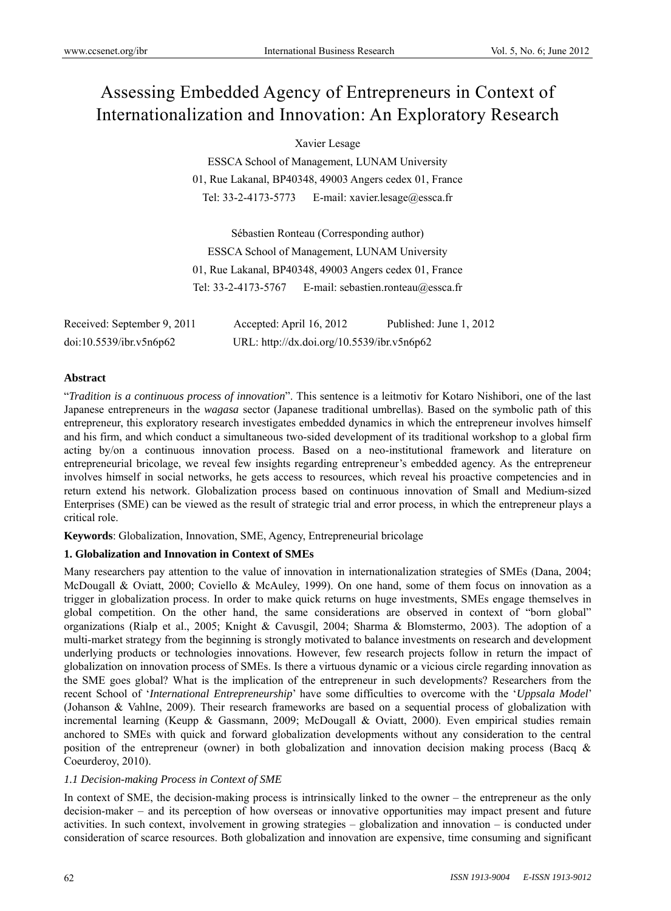# Assessing Embedded Agency of Entrepreneurs in Context of Internationalization and Innovation: An Exploratory Research

# Xavier Lesage

ESSCA School of Management, LUNAM University 01, Rue Lakanal, BP40348, 49003 Angers cedex 01, France Tel: 33-2-4173-5773 E-mail: xavier.lesage@essca.fr

Sébastien Ronteau (Corresponding author) ESSCA School of Management, LUNAM University 01, Rue Lakanal, BP40348, 49003 Angers cedex 01, France Tel: 33-2-4173-5767 E-mail: sebastien.ronteau@essca.fr

| Received: September 9, 2011 | Accepted: April 16, 2012                   | Published: June 1, 2012 |
|-----------------------------|--------------------------------------------|-------------------------|
| doi:10.5539/ibr.v5n6p62     | URL: http://dx.doi.org/10.5539/ibr.v5n6p62 |                         |

# **Abstract**

"*Tradition is a continuous process of innovation*". This sentence is a leitmotiv for Kotaro Nishibori, one of the last Japanese entrepreneurs in the *wagasa* sector (Japanese traditional umbrellas). Based on the symbolic path of this entrepreneur, this exploratory research investigates embedded dynamics in which the entrepreneur involves himself and his firm, and which conduct a simultaneous two-sided development of its traditional workshop to a global firm acting by/on a continuous innovation process. Based on a neo-institutional framework and literature on entrepreneurial bricolage, we reveal few insights regarding entrepreneur's embedded agency. As the entrepreneur involves himself in social networks, he gets access to resources, which reveal his proactive competencies and in return extend his network. Globalization process based on continuous innovation of Small and Medium-sized Enterprises (SME) can be viewed as the result of strategic trial and error process, in which the entrepreneur plays a critical role.

**Keywords**: Globalization, Innovation, SME, Agency, Entrepreneurial bricolage

# **1. Globalization and Innovation in Context of SMEs**

Many researchers pay attention to the value of innovation in internationalization strategies of SMEs (Dana, 2004; McDougall & Oviatt, 2000; Coviello & McAuley, 1999). On one hand, some of them focus on innovation as a trigger in globalization process. In order to make quick returns on huge investments, SMEs engage themselves in global competition. On the other hand, the same considerations are observed in context of "born global" organizations (Rialp et al., 2005; Knight & Cavusgil, 2004; Sharma & Blomstermo, 2003). The adoption of a multi-market strategy from the beginning is strongly motivated to balance investments on research and development underlying products or technologies innovations. However, few research projects follow in return the impact of globalization on innovation process of SMEs. Is there a virtuous dynamic or a vicious circle regarding innovation as the SME goes global? What is the implication of the entrepreneur in such developments? Researchers from the recent School of '*International Entrepreneurship*' have some difficulties to overcome with the '*Uppsala Model*' (Johanson & Vahlne, 2009). Their research frameworks are based on a sequential process of globalization with incremental learning (Keupp & Gassmann, 2009; McDougall & Oviatt, 2000). Even empirical studies remain anchored to SMEs with quick and forward globalization developments without any consideration to the central position of the entrepreneur (owner) in both globalization and innovation decision making process (Bacq & Coeurderoy, 2010).

# *1.1 Decision-making Process in Context of SME*

In context of SME, the decision-making process is intrinsically linked to the owner – the entrepreneur as the only decision-maker – and its perception of how overseas or innovative opportunities may impact present and future activities. In such context, involvement in growing strategies – globalization and innovation – is conducted under consideration of scarce resources. Both globalization and innovation are expensive, time consuming and significant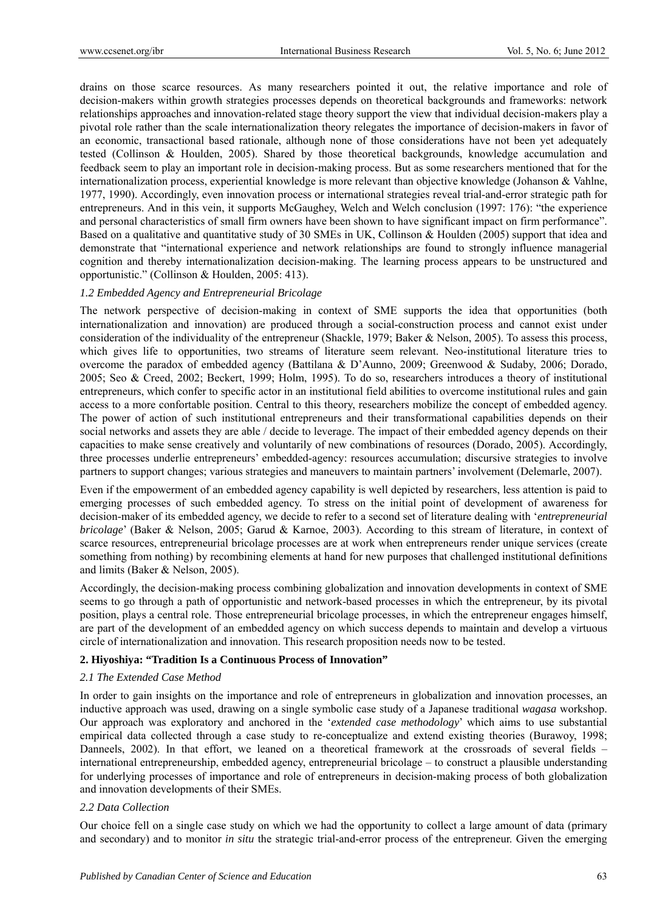drains on those scarce resources. As many researchers pointed it out, the relative importance and role of decision-makers within growth strategies processes depends on theoretical backgrounds and frameworks: network relationships approaches and innovation-related stage theory support the view that individual decision-makers play a pivotal role rather than the scale internationalization theory relegates the importance of decision-makers in favor of an economic, transactional based rationale, although none of those considerations have not been yet adequately tested (Collinson & Houlden, 2005). Shared by those theoretical backgrounds, knowledge accumulation and feedback seem to play an important role in decision-making process. But as some researchers mentioned that for the internationalization process, experiential knowledge is more relevant than objective knowledge (Johanson & Vahlne, 1977, 1990). Accordingly, even innovation process or international strategies reveal trial-and-error strategic path for entrepreneurs. And in this vein, it supports McGaughey, Welch and Welch conclusion (1997: 176): "the experience and personal characteristics of small firm owners have been shown to have significant impact on firm performance". Based on a qualitative and quantitative study of 30 SMEs in UK, Collinson & Houlden (2005) support that idea and demonstrate that "international experience and network relationships are found to strongly influence managerial cognition and thereby internationalization decision-making. The learning process appears to be unstructured and opportunistic." (Collinson & Houlden, 2005: 413).

# *1.2 Embedded Agency and Entrepreneurial Bricolage*

The network perspective of decision-making in context of SME supports the idea that opportunities (both internationalization and innovation) are produced through a social-construction process and cannot exist under consideration of the individuality of the entrepreneur (Shackle, 1979; Baker & Nelson, 2005). To assess this process, which gives life to opportunities, two streams of literature seem relevant. Neo-institutional literature tries to overcome the paradox of embedded agency (Battilana & D'Aunno, 2009; Greenwood & Sudaby, 2006; Dorado, 2005; Seo & Creed, 2002; Beckert, 1999; Holm, 1995). To do so, researchers introduces a theory of institutional entrepreneurs, which confer to specific actor in an institutional field abilities to overcome institutional rules and gain access to a more confortable position. Central to this theory, researchers mobilize the concept of embedded agency. The power of action of such institutional entrepreneurs and their transformational capabilities depends on their social networks and assets they are able / decide to leverage. The impact of their embedded agency depends on their capacities to make sense creatively and voluntarily of new combinations of resources (Dorado, 2005). Accordingly, three processes underlie entrepreneurs' embedded-agency: resources accumulation; discursive strategies to involve partners to support changes; various strategies and maneuvers to maintain partners' involvement (Delemarle, 2007).

Even if the empowerment of an embedded agency capability is well depicted by researchers, less attention is paid to emerging processes of such embedded agency. To stress on the initial point of development of awareness for decision-maker of its embedded agency, we decide to refer to a second set of literature dealing with '*entrepreneurial bricolage*' (Baker & Nelson, 2005; Garud & Karnoe, 2003). According to this stream of literature, in context of scarce resources, entrepreneurial bricolage processes are at work when entrepreneurs render unique services (create something from nothing) by recombining elements at hand for new purposes that challenged institutional definitions and limits (Baker & Nelson, 2005).

Accordingly, the decision-making process combining globalization and innovation developments in context of SME seems to go through a path of opportunistic and network-based processes in which the entrepreneur, by its pivotal position, plays a central role. Those entrepreneurial bricolage processes, in which the entrepreneur engages himself, are part of the development of an embedded agency on which success depends to maintain and develop a virtuous circle of internationalization and innovation. This research proposition needs now to be tested.

# **2. Hiyoshiya: "Tradition Is a Continuous Process of Innovation"**

# *2.1 The Extended Case Method*

In order to gain insights on the importance and role of entrepreneurs in globalization and innovation processes, an inductive approach was used, drawing on a single symbolic case study of a Japanese traditional *wagasa* workshop. Our approach was exploratory and anchored in the '*extended case methodology*' which aims to use substantial empirical data collected through a case study to re-conceptualize and extend existing theories (Burawoy, 1998; Danneels, 2002). In that effort, we leaned on a theoretical framework at the crossroads of several fields – international entrepreneurship, embedded agency, entrepreneurial bricolage – to construct a plausible understanding for underlying processes of importance and role of entrepreneurs in decision-making process of both globalization and innovation developments of their SMEs.

# *2.2 Data Collection*

Our choice fell on a single case study on which we had the opportunity to collect a large amount of data (primary and secondary) and to monitor *in situ* the strategic trial-and-error process of the entrepreneur. Given the emerging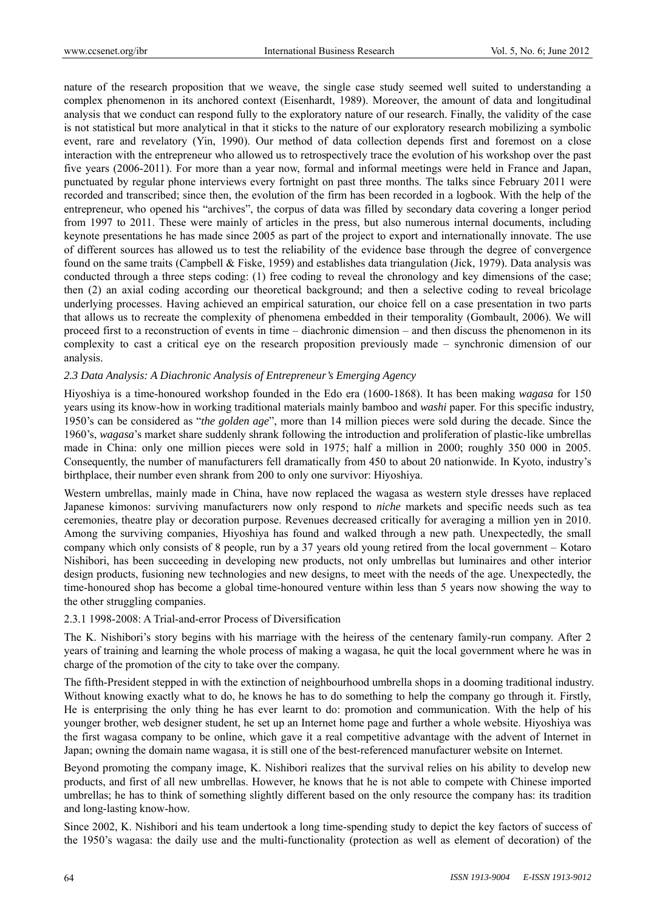nature of the research proposition that we weave, the single case study seemed well suited to understanding a complex phenomenon in its anchored context (Eisenhardt, 1989). Moreover, the amount of data and longitudinal analysis that we conduct can respond fully to the exploratory nature of our research. Finally, the validity of the case is not statistical but more analytical in that it sticks to the nature of our exploratory research mobilizing a symbolic event, rare and revelatory (Yin, 1990). Our method of data collection depends first and foremost on a close interaction with the entrepreneur who allowed us to retrospectively trace the evolution of his workshop over the past five years (2006-2011). For more than a year now, formal and informal meetings were held in France and Japan, punctuated by regular phone interviews every fortnight on past three months. The talks since February 2011 were recorded and transcribed; since then, the evolution of the firm has been recorded in a logbook. With the help of the entrepreneur, who opened his "archives", the corpus of data was filled by secondary data covering a longer period from 1997 to 2011. These were mainly of articles in the press, but also numerous internal documents, including keynote presentations he has made since 2005 as part of the project to export and internationally innovate. The use of different sources has allowed us to test the reliability of the evidence base through the degree of convergence found on the same traits (Campbell & Fiske, 1959) and establishes data triangulation (Jick, 1979). Data analysis was conducted through a three steps coding: (1) free coding to reveal the chronology and key dimensions of the case; then (2) an axial coding according our theoretical background; and then a selective coding to reveal bricolage underlying processes. Having achieved an empirical saturation, our choice fell on a case presentation in two parts that allows us to recreate the complexity of phenomena embedded in their temporality (Gombault, 2006). We will proceed first to a reconstruction of events in time – diachronic dimension – and then discuss the phenomenon in its complexity to cast a critical eye on the research proposition previously made – synchronic dimension of our analysis.

# *2.3 Data Analysis: A Diachronic Analysis of Entrepreneur's Emerging Agency*

Hiyoshiya is a time-honoured workshop founded in the Edo era (1600-1868). It has been making *wagasa* for 150 years using its know-how in working traditional materials mainly bamboo and *washi* paper. For this specific industry, 1950's can be considered as "*the golden age*", more than 14 million pieces were sold during the decade. Since the 1960's, *wagasa*'s market share suddenly shrank following the introduction and proliferation of plastic-like umbrellas made in China: only one million pieces were sold in 1975; half a million in 2000; roughly 350 000 in 2005. Consequently, the number of manufacturers fell dramatically from 450 to about 20 nationwide. In Kyoto, industry's birthplace, their number even shrank from 200 to only one survivor: Hiyoshiya.

Western umbrellas, mainly made in China, have now replaced the wagasa as western style dresses have replaced Japanese kimonos: surviving manufacturers now only respond to *niche* markets and specific needs such as tea ceremonies, theatre play or decoration purpose. Revenues decreased critically for averaging a million yen in 2010. Among the surviving companies, Hiyoshiya has found and walked through a new path. Unexpectedly, the small company which only consists of 8 people, run by a 37 years old young retired from the local government – Kotaro Nishibori, has been succeeding in developing new products, not only umbrellas but luminaires and other interior design products, fusioning new technologies and new designs, to meet with the needs of the age. Unexpectedly, the time-honoured shop has become a global time-honoured venture within less than 5 years now showing the way to the other struggling companies.

# 2.3.1 1998-2008: A Trial-and-error Process of Diversification

The K. Nishibori's story begins with his marriage with the heiress of the centenary family-run company. After 2 years of training and learning the whole process of making a wagasa, he quit the local government where he was in charge of the promotion of the city to take over the company.

The fifth-President stepped in with the extinction of neighbourhood umbrella shops in a dooming traditional industry. Without knowing exactly what to do, he knows he has to do something to help the company go through it. Firstly, He is enterprising the only thing he has ever learnt to do: promotion and communication. With the help of his younger brother, web designer student, he set up an Internet home page and further a whole website. Hiyoshiya was the first wagasa company to be online, which gave it a real competitive advantage with the advent of Internet in Japan; owning the domain name wagasa, it is still one of the best-referenced manufacturer website on Internet.

Beyond promoting the company image, K. Nishibori realizes that the survival relies on his ability to develop new products, and first of all new umbrellas. However, he knows that he is not able to compete with Chinese imported umbrellas; he has to think of something slightly different based on the only resource the company has: its tradition and long-lasting know-how.

Since 2002, K. Nishibori and his team undertook a long time-spending study to depict the key factors of success of the 1950's wagasa: the daily use and the multi-functionality (protection as well as element of decoration) of the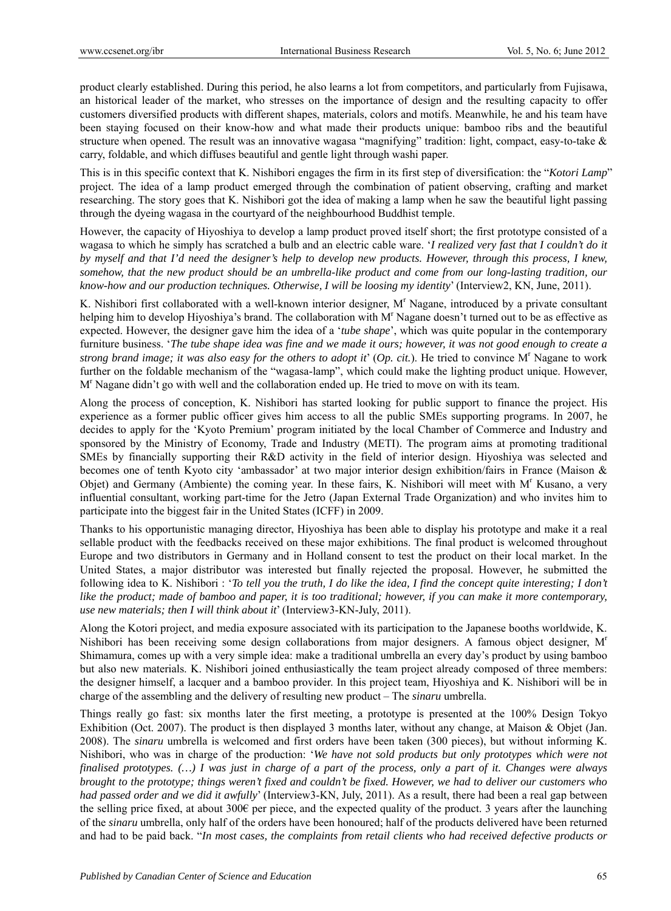product clearly established. During this period, he also learns a lot from competitors, and particularly from Fujisawa, an historical leader of the market, who stresses on the importance of design and the resulting capacity to offer customers diversified products with different shapes, materials, colors and motifs. Meanwhile, he and his team have been staying focused on their know-how and what made their products unique: bamboo ribs and the beautiful structure when opened. The result was an innovative wagasa "magnifying" tradition: light, compact, easy-to-take & carry, foldable, and which diffuses beautiful and gentle light through washi paper.

This is in this specific context that K. Nishibori engages the firm in its first step of diversification: the "*Kotori Lamp*" project. The idea of a lamp product emerged through the combination of patient observing, crafting and market researching. The story goes that K. Nishibori got the idea of making a lamp when he saw the beautiful light passing through the dyeing wagasa in the courtyard of the neighbourhood Buddhist temple.

However, the capacity of Hiyoshiya to develop a lamp product proved itself short; the first prototype consisted of a wagasa to which he simply has scratched a bulb and an electric cable ware. '*I realized very fast that I couldn't do it by myself and that I'd need the designer's help to develop new products. However, through this process, I knew, somehow, that the new product should be an umbrella-like product and come from our long-lasting tradition, our know-how and our production techniques. Otherwise, I will be loosing my identity*' (Interview2, KN, June, 2011).

K. Nishibori first collaborated with a well-known interior designer, M<sup>r</sup> Nagane, introduced by a private consultant helping him to develop Hiyoshiya's brand. The collaboration with M<sup>r</sup> Nagane doesn't turned out to be as effective as expected. However, the designer gave him the idea of a '*tube shape*', which was quite popular in the contemporary furniture business. '*The tube shape idea was fine and we made it ours; however, it was not good enough to create a strong brand image; it was also easy for the others to adopt it*' (*Op. cit.*). He tried to convince Mr Nagane to work further on the foldable mechanism of the "wagasa-lamp", which could make the lighting product unique. However, Mr Nagane didn't go with well and the collaboration ended up. He tried to move on with its team.

Along the process of conception, K. Nishibori has started looking for public support to finance the project. His experience as a former public officer gives him access to all the public SMEs supporting programs. In 2007, he decides to apply for the 'Kyoto Premium' program initiated by the local Chamber of Commerce and Industry and sponsored by the Ministry of Economy, Trade and Industry (METI). The program aims at promoting traditional SMEs by financially supporting their R&D activity in the field of interior design. Hiyoshiya was selected and becomes one of tenth Kyoto city 'ambassador' at two major interior design exhibition/fairs in France (Maison & Objet) and Germany (Ambiente) the coming year. In these fairs, K. Nishibori will meet with M<sup>r</sup> Kusano, a very influential consultant, working part-time for the Jetro (Japan External Trade Organization) and who invites him to participate into the biggest fair in the United States (ICFF) in 2009.

Thanks to his opportunistic managing director, Hiyoshiya has been able to display his prototype and make it a real sellable product with the feedbacks received on these major exhibitions. The final product is welcomed throughout Europe and two distributors in Germany and in Holland consent to test the product on their local market. In the United States, a major distributor was interested but finally rejected the proposal. However, he submitted the following idea to K. Nishibori : '*To tell you the truth, I do like the idea, I find the concept quite interesting; I don't like the product; made of bamboo and paper, it is too traditional; however, if you can make it more contemporary, use new materials; then I will think about it*' (Interview3-KN-July, 2011).

Along the Kotori project, and media exposure associated with its participation to the Japanese booths worldwide, K. Nishibori has been receiving some design collaborations from major designers. A famous object designer, M<sup>r</sup> Shimamura, comes up with a very simple idea: make a traditional umbrella an every day's product by using bamboo but also new materials. K. Nishibori joined enthusiastically the team project already composed of three members: the designer himself, a lacquer and a bamboo provider. In this project team, Hiyoshiya and K. Nishibori will be in charge of the assembling and the delivery of resulting new product – The *sinaru* umbrella.

Things really go fast: six months later the first meeting, a prototype is presented at the 100% Design Tokyo Exhibition (Oct. 2007). The product is then displayed 3 months later, without any change, at Maison & Objet (Jan. 2008). The *sinaru* umbrella is welcomed and first orders have been taken (300 pieces), but without informing K. Nishibori, who was in charge of the production: '*We have not sold products but only prototypes which were not finalised prototypes. (…) I was just in charge of a part of the process, only a part of it. Changes were always brought to the prototype; things weren't fixed and couldn't be fixed. However, we had to deliver our customers who had passed order and we did it awfully*' (Interview3-KN, July, 2011). As a result, there had been a real gap between the selling price fixed, at about 300 $\epsilon$  per piece, and the expected quality of the product. 3 years after the launching of the *sinaru* umbrella, only half of the orders have been honoured; half of the products delivered have been returned and had to be paid back. "*In most cases, the complaints from retail clients who had received defective products or*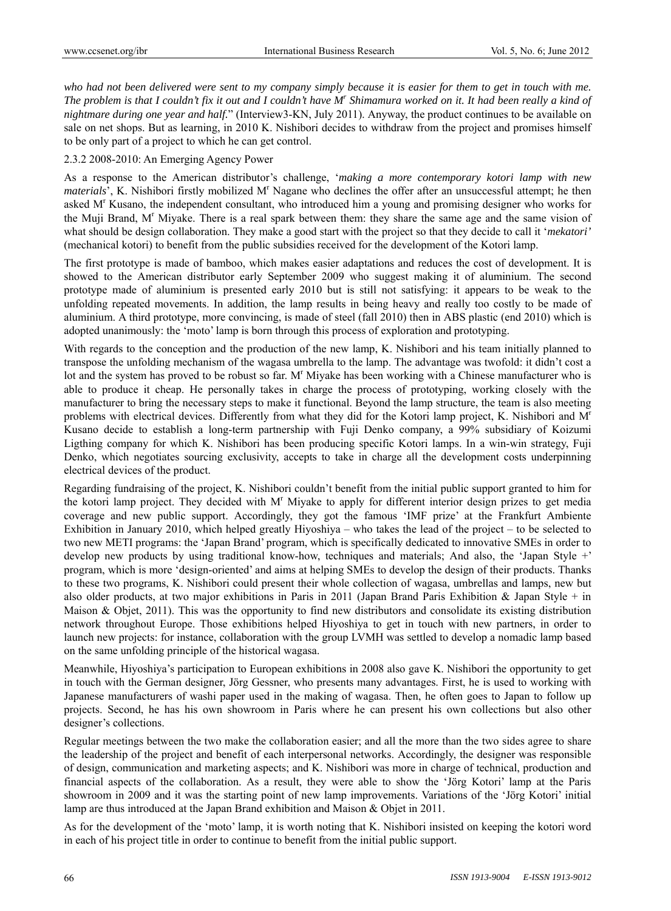*who had not been delivered were sent to my company simply because it is easier for them to get in touch with me.*  The problem is that I couldn't fix it out and I couldn't have M<sup>r</sup> Shimamura worked on it. It had been really a kind of *nightmare during one year and half.*" (Interview3-KN, July 2011). Anyway, the product continues to be available on sale on net shops. But as learning, in 2010 K. Nishibori decides to withdraw from the project and promises himself to be only part of a project to which he can get control.

#### 2.3.2 2008-2010: An Emerging Agency Power

As a response to the American distributor's challenge, '*making a more contemporary kotori lamp with new*  materials', K. Nishibori firstly mobilized M<sup>r</sup> Nagane who declines the offer after an unsuccessful attempt; he then asked M<sup>r</sup> Kusano, the independent consultant, who introduced him a young and promising designer who works for the Muji Brand, M<sup>r</sup> Miyake. There is a real spark between them: they share the same age and the same vision of what should be design collaboration. They make a good start with the project so that they decide to call it '*mekatori'* (mechanical kotori) to benefit from the public subsidies received for the development of the Kotori lamp.

The first prototype is made of bamboo, which makes easier adaptations and reduces the cost of development. It is showed to the American distributor early September 2009 who suggest making it of aluminium. The second prototype made of aluminium is presented early 2010 but is still not satisfying: it appears to be weak to the unfolding repeated movements. In addition, the lamp results in being heavy and really too costly to be made of aluminium. A third prototype, more convincing, is made of steel (fall 2010) then in ABS plastic (end 2010) which is adopted unanimously: the 'moto' lamp is born through this process of exploration and prototyping.

With regards to the conception and the production of the new lamp, K. Nishibori and his team initially planned to transpose the unfolding mechanism of the wagasa umbrella to the lamp. The advantage was twofold: it didn't cost a lot and the system has proved to be robust so far. M<sup>r</sup> Miyake has been working with a Chinese manufacturer who is able to produce it cheap. He personally takes in charge the process of prototyping, working closely with the manufacturer to bring the necessary steps to make it functional. Beyond the lamp structure, the team is also meeting problems with electrical devices. Differently from what they did for the Kotori lamp project, K. Nishibori and Mr Kusano decide to establish a long-term partnership with Fuji Denko company, a 99% subsidiary of Koizumi Ligthing company for which K. Nishibori has been producing specific Kotori lamps. In a win-win strategy, Fuji Denko, which negotiates sourcing exclusivity, accepts to take in charge all the development costs underpinning electrical devices of the product.

Regarding fundraising of the project, K. Nishibori couldn't benefit from the initial public support granted to him for the kotori lamp project. They decided with M<sup>r</sup> Miyake to apply for different interior design prizes to get media coverage and new public support. Accordingly, they got the famous 'IMF prize' at the Frankfurt Ambiente Exhibition in January 2010, which helped greatly Hiyoshiya – who takes the lead of the project – to be selected to two new METI programs: the 'Japan Brand' program, which is specifically dedicated to innovative SMEs in order to develop new products by using traditional know-how, techniques and materials; And also, the 'Japan Style +' program, which is more 'design-oriented' and aims at helping SMEs to develop the design of their products. Thanks to these two programs, K. Nishibori could present their whole collection of wagasa, umbrellas and lamps, new but also older products, at two major exhibitions in Paris in 2011 (Japan Brand Paris Exhibition & Japan Style + in Maison & Objet, 2011). This was the opportunity to find new distributors and consolidate its existing distribution network throughout Europe. Those exhibitions helped Hiyoshiya to get in touch with new partners, in order to launch new projects: for instance, collaboration with the group LVMH was settled to develop a nomadic lamp based on the same unfolding principle of the historical wagasa.

Meanwhile, Hiyoshiya's participation to European exhibitions in 2008 also gave K. Nishibori the opportunity to get in touch with the German designer, Jörg Gessner, who presents many advantages. First, he is used to working with Japanese manufacturers of washi paper used in the making of wagasa. Then, he often goes to Japan to follow up projects. Second, he has his own showroom in Paris where he can present his own collections but also other designer's collections.

Regular meetings between the two make the collaboration easier; and all the more than the two sides agree to share the leadership of the project and benefit of each interpersonal networks. Accordingly, the designer was responsible of design, communication and marketing aspects; and K. Nishibori was more in charge of technical, production and financial aspects of the collaboration. As a result, they were able to show the 'Jörg Kotori' lamp at the Paris showroom in 2009 and it was the starting point of new lamp improvements. Variations of the 'Jörg Kotori' initial lamp are thus introduced at the Japan Brand exhibition and Maison & Objet in 2011.

As for the development of the 'moto' lamp, it is worth noting that K. Nishibori insisted on keeping the kotori word in each of his project title in order to continue to benefit from the initial public support.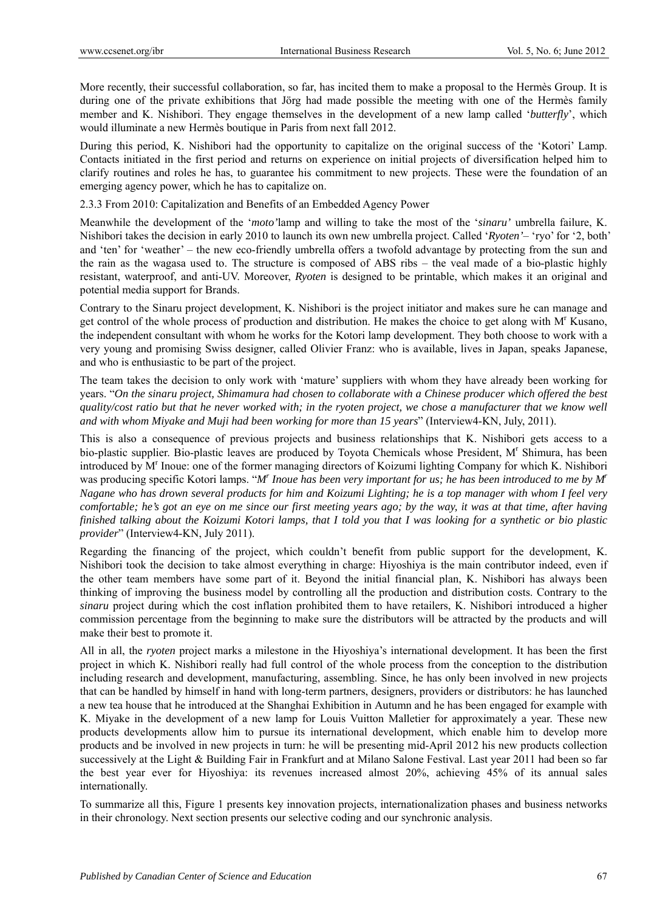More recently, their successful collaboration, so far, has incited them to make a proposal to the Hermès Group. It is during one of the private exhibitions that Jörg had made possible the meeting with one of the Hermès family member and K. Nishibori. They engage themselves in the development of a new lamp called '*butterfly*', which would illuminate a new Hermès boutique in Paris from next fall 2012.

During this period, K. Nishibori had the opportunity to capitalize on the original success of the 'Kotori' Lamp. Contacts initiated in the first period and returns on experience on initial projects of diversification helped him to clarify routines and roles he has, to guarantee his commitment to new projects. These were the foundation of an emerging agency power, which he has to capitalize on.

2.3.3 From 2010: Capitalization and Benefits of an Embedded Agency Power

Meanwhile the development of the '*moto'*lamp and willing to take the most of the '*sinaru'* umbrella failure, K. Nishibori takes the decision in early 2010 to launch its own new umbrella project. Called '*Ryoten'*– 'ryo' for '2, both' and 'ten' for 'weather' – the new eco-friendly umbrella offers a twofold advantage by protecting from the sun and the rain as the wagasa used to. The structure is composed of ABS ribs – the veal made of a bio-plastic highly resistant, waterproof, and anti-UV. Moreover, *Ryoten* is designed to be printable, which makes it an original and potential media support for Brands.

Contrary to the Sinaru project development, K. Nishibori is the project initiator and makes sure he can manage and get control of the whole process of production and distribution. He makes the choice to get along with M<sup>r</sup> Kusano, the independent consultant with whom he works for the Kotori lamp development. They both choose to work with a very young and promising Swiss designer, called Olivier Franz: who is available, lives in Japan, speaks Japanese, and who is enthusiastic to be part of the project.

The team takes the decision to only work with 'mature' suppliers with whom they have already been working for years. "*On the sinaru project, Shimamura had chosen to collaborate with a Chinese producer which offered the best quality/cost ratio but that he never worked with; in the ryoten project, we chose a manufacturer that we know well and with whom Miyake and Muji had been working for more than 15 years*" (Interview4-KN, July, 2011).

This is also a consequence of previous projects and business relationships that K. Nishibori gets access to a bio-plastic supplier. Bio-plastic leaves are produced by Toyota Chemicals whose President, M<sup>r</sup> Shimura, has been introduced by M<sup>r</sup> Inoue: one of the former managing directors of Koizumi lighting Company for which K. Nishibori was producing specific Kotori lamps. "M<sup>r</sup> Inoue has been very important for us; he has been introduced to me by M<sup>r</sup> *Nagane who has drown several products for him and Koizumi Lighting; he is a top manager with whom I feel very comfortable; he's got an eye on me since our first meeting years ago; by the way, it was at that time, after having finished talking about the Koizumi Kotori lamps, that I told you that I was looking for a synthetic or bio plastic provider*" (Interview4-KN, July 2011).

Regarding the financing of the project, which couldn't benefit from public support for the development, K. Nishibori took the decision to take almost everything in charge: Hiyoshiya is the main contributor indeed, even if the other team members have some part of it. Beyond the initial financial plan, K. Nishibori has always been thinking of improving the business model by controlling all the production and distribution costs. Contrary to the *sinaru* project during which the cost inflation prohibited them to have retailers, K. Nishibori introduced a higher commission percentage from the beginning to make sure the distributors will be attracted by the products and will make their best to promote it.

All in all, the *ryoten* project marks a milestone in the Hiyoshiya's international development. It has been the first project in which K. Nishibori really had full control of the whole process from the conception to the distribution including research and development, manufacturing, assembling. Since, he has only been involved in new projects that can be handled by himself in hand with long-term partners, designers, providers or distributors: he has launched a new tea house that he introduced at the Shanghai Exhibition in Autumn and he has been engaged for example with K. Miyake in the development of a new lamp for Louis Vuitton Malletier for approximately a year. These new products developments allow him to pursue its international development, which enable him to develop more products and be involved in new projects in turn: he will be presenting mid-April 2012 his new products collection successively at the Light & Building Fair in Frankfurt and at Milano Salone Festival. Last year 2011 had been so far the best year ever for Hiyoshiya: its revenues increased almost 20%, achieving 45% of its annual sales internationally.

To summarize all this, Figure 1 presents key innovation projects, internationalization phases and business networks in their chronology. Next section presents our selective coding and our synchronic analysis.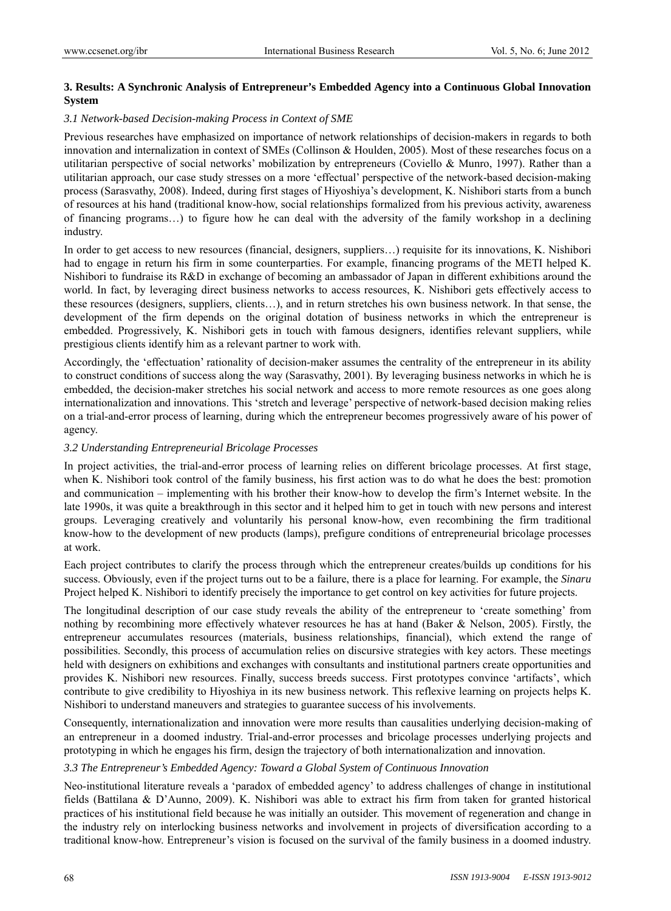# **3. Results: A Synchronic Analysis of Entrepreneur's Embedded Agency into a Continuous Global Innovation System**

# *3.1 Network-based Decision-making Process in Context of SME*

Previous researches have emphasized on importance of network relationships of decision-makers in regards to both innovation and internalization in context of SMEs (Collinson & Houlden, 2005). Most of these researches focus on a utilitarian perspective of social networks' mobilization by entrepreneurs (Coviello & Munro, 1997). Rather than a utilitarian approach, our case study stresses on a more 'effectual' perspective of the network-based decision-making process (Sarasvathy, 2008). Indeed, during first stages of Hiyoshiya's development, K. Nishibori starts from a bunch of resources at his hand (traditional know-how, social relationships formalized from his previous activity, awareness of financing programs…) to figure how he can deal with the adversity of the family workshop in a declining industry.

In order to get access to new resources (financial, designers, suppliers…) requisite for its innovations, K. Nishibori had to engage in return his firm in some counterparties. For example, financing programs of the METI helped K. Nishibori to fundraise its R&D in exchange of becoming an ambassador of Japan in different exhibitions around the world. In fact, by leveraging direct business networks to access resources, K. Nishibori gets effectively access to these resources (designers, suppliers, clients…), and in return stretches his own business network. In that sense, the development of the firm depends on the original dotation of business networks in which the entrepreneur is embedded. Progressively, K. Nishibori gets in touch with famous designers, identifies relevant suppliers, while prestigious clients identify him as a relevant partner to work with.

Accordingly, the 'effectuation' rationality of decision-maker assumes the centrality of the entrepreneur in its ability to construct conditions of success along the way (Sarasvathy, 2001). By leveraging business networks in which he is embedded, the decision-maker stretches his social network and access to more remote resources as one goes along internationalization and innovations. This 'stretch and leverage' perspective of network-based decision making relies on a trial-and-error process of learning, during which the entrepreneur becomes progressively aware of his power of agency.

# *3.2 Understanding Entrepreneurial Bricolage Processes*

In project activities, the trial-and-error process of learning relies on different bricolage processes. At first stage, when K. Nishibori took control of the family business, his first action was to do what he does the best: promotion and communication – implementing with his brother their know-how to develop the firm's Internet website. In the late 1990s, it was quite a breakthrough in this sector and it helped him to get in touch with new persons and interest groups. Leveraging creatively and voluntarily his personal know-how, even recombining the firm traditional know-how to the development of new products (lamps), prefigure conditions of entrepreneurial bricolage processes at work.

Each project contributes to clarify the process through which the entrepreneur creates/builds up conditions for his success. Obviously, even if the project turns out to be a failure, there is a place for learning. For example, the *Sinaru* Project helped K. Nishibori to identify precisely the importance to get control on key activities for future projects.

The longitudinal description of our case study reveals the ability of the entrepreneur to 'create something' from nothing by recombining more effectively whatever resources he has at hand (Baker & Nelson, 2005). Firstly, the entrepreneur accumulates resources (materials, business relationships, financial), which extend the range of possibilities. Secondly, this process of accumulation relies on discursive strategies with key actors. These meetings held with designers on exhibitions and exchanges with consultants and institutional partners create opportunities and provides K. Nishibori new resources. Finally, success breeds success. First prototypes convince 'artifacts', which contribute to give credibility to Hiyoshiya in its new business network. This reflexive learning on projects helps K. Nishibori to understand maneuvers and strategies to guarantee success of his involvements.

Consequently, internationalization and innovation were more results than causalities underlying decision-making of an entrepreneur in a doomed industry. Trial-and-error processes and bricolage processes underlying projects and prototyping in which he engages his firm, design the trajectory of both internationalization and innovation.

# *3.3 The Entrepreneur's Embedded Agency: Toward a Global System of Continuous Innovation*

Neo-institutional literature reveals a 'paradox of embedded agency' to address challenges of change in institutional fields (Battilana & D'Aunno, 2009). K. Nishibori was able to extract his firm from taken for granted historical practices of his institutional field because he was initially an outsider. This movement of regeneration and change in the industry rely on interlocking business networks and involvement in projects of diversification according to a traditional know-how. Entrepreneur's vision is focused on the survival of the family business in a doomed industry.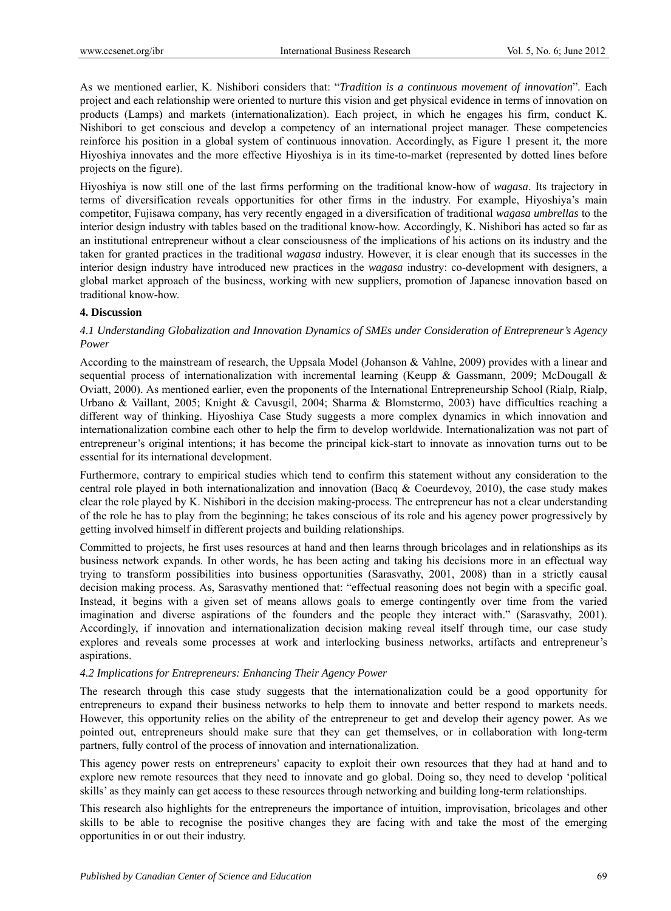As we mentioned earlier, K. Nishibori considers that: "*Tradition is a continuous movement of innovation*". Each project and each relationship were oriented to nurture this vision and get physical evidence in terms of innovation on products (Lamps) and markets (internationalization). Each project, in which he engages his firm, conduct K. Nishibori to get conscious and develop a competency of an international project manager. These competencies reinforce his position in a global system of continuous innovation. Accordingly, as Figure 1 present it, the more Hiyoshiya innovates and the more effective Hiyoshiya is in its time-to-market (represented by dotted lines before projects on the figure).

Hiyoshiya is now still one of the last firms performing on the traditional know-how of *wagasa*. Its trajectory in terms of diversification reveals opportunities for other firms in the industry. For example, Hiyoshiya's main competitor, Fujisawa company, has very recently engaged in a diversification of traditional *wagasa umbrellas* to the interior design industry with tables based on the traditional know-how. Accordingly, K. Nishibori has acted so far as an institutional entrepreneur without a clear consciousness of the implications of his actions on its industry and the taken for granted practices in the traditional *wagasa* industry. However, it is clear enough that its successes in the interior design industry have introduced new practices in the *wagasa* industry: co-development with designers, a global market approach of the business, working with new suppliers, promotion of Japanese innovation based on traditional know-how.

# **4. Discussion**

# *4.1 Understanding Globalization and Innovation Dynamics of SMEs under Consideration of Entrepreneur's Agency Power*

According to the mainstream of research, the Uppsala Model (Johanson & Vahlne, 2009) provides with a linear and sequential process of internationalization with incremental learning (Keupp & Gassmann, 2009; McDougall & Oviatt, 2000). As mentioned earlier, even the proponents of the International Entrepreneurship School (Rialp, Rialp, Urbano & Vaillant, 2005; Knight & Cavusgil, 2004; Sharma & Blomstermo, 2003) have difficulties reaching a different way of thinking. Hiyoshiya Case Study suggests a more complex dynamics in which innovation and internationalization combine each other to help the firm to develop worldwide. Internationalization was not part of entrepreneur's original intentions; it has become the principal kick-start to innovate as innovation turns out to be essential for its international development.

Furthermore, contrary to empirical studies which tend to confirm this statement without any consideration to the central role played in both internationalization and innovation (Bacq & Coeurdevoy, 2010), the case study makes clear the role played by K. Nishibori in the decision making-process. The entrepreneur has not a clear understanding of the role he has to play from the beginning; he takes conscious of its role and his agency power progressively by getting involved himself in different projects and building relationships.

Committed to projects, he first uses resources at hand and then learns through bricolages and in relationships as its business network expands. In other words, he has been acting and taking his decisions more in an effectual way trying to transform possibilities into business opportunities (Sarasvathy, 2001, 2008) than in a strictly causal decision making process. As, Sarasvathy mentioned that: "effectual reasoning does not begin with a specific goal. Instead, it begins with a given set of means allows goals to emerge contingently over time from the varied imagination and diverse aspirations of the founders and the people they interact with." (Sarasvathy, 2001). Accordingly, if innovation and internationalization decision making reveal itself through time, our case study explores and reveals some processes at work and interlocking business networks, artifacts and entrepreneur's aspirations.

# *4.2 Implications for Entrepreneurs: Enhancing Their Agency Power*

The research through this case study suggests that the internationalization could be a good opportunity for entrepreneurs to expand their business networks to help them to innovate and better respond to markets needs. However, this opportunity relies on the ability of the entrepreneur to get and develop their agency power. As we pointed out, entrepreneurs should make sure that they can get themselves, or in collaboration with long-term partners, fully control of the process of innovation and internationalization.

This agency power rests on entrepreneurs' capacity to exploit their own resources that they had at hand and to explore new remote resources that they need to innovate and go global. Doing so, they need to develop 'political skills' as they mainly can get access to these resources through networking and building long-term relationships.

This research also highlights for the entrepreneurs the importance of intuition, improvisation, bricolages and other skills to be able to recognise the positive changes they are facing with and take the most of the emerging opportunities in or out their industry.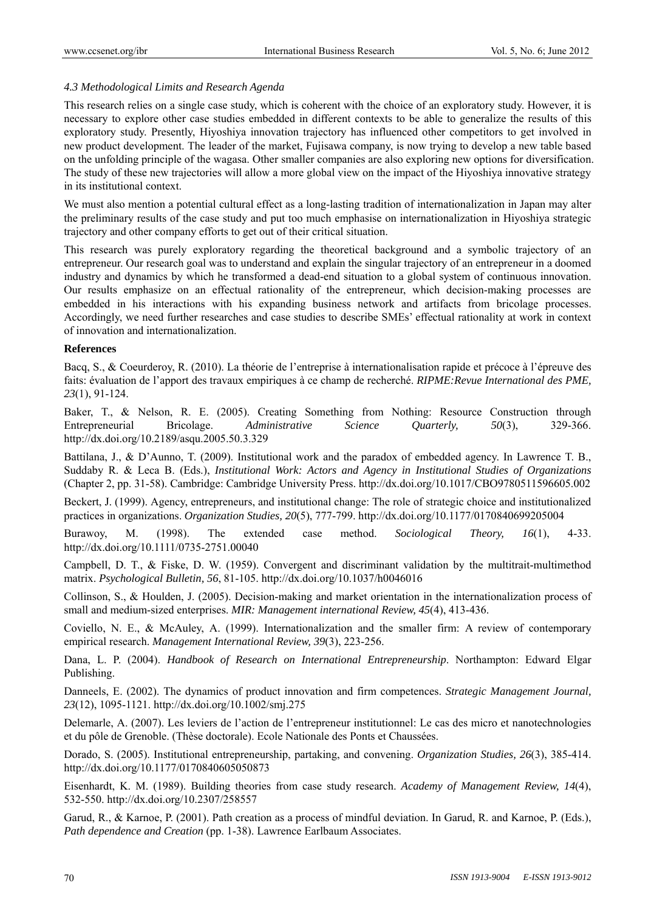# *4.3 Methodological Limits and Research Agenda*

This research relies on a single case study, which is coherent with the choice of an exploratory study. However, it is necessary to explore other case studies embedded in different contexts to be able to generalize the results of this exploratory study. Presently, Hiyoshiya innovation trajectory has influenced other competitors to get involved in new product development. The leader of the market, Fujisawa company, is now trying to develop a new table based on the unfolding principle of the wagasa. Other smaller companies are also exploring new options for diversification. The study of these new trajectories will allow a more global view on the impact of the Hiyoshiya innovative strategy in its institutional context.

We must also mention a potential cultural effect as a long-lasting tradition of internationalization in Japan may alter the preliminary results of the case study and put too much emphasise on internationalization in Hiyoshiya strategic trajectory and other company efforts to get out of their critical situation.

This research was purely exploratory regarding the theoretical background and a symbolic trajectory of an entrepreneur. Our research goal was to understand and explain the singular trajectory of an entrepreneur in a doomed industry and dynamics by which he transformed a dead-end situation to a global system of continuous innovation. Our results emphasize on an effectual rationality of the entrepreneur, which decision-making processes are embedded in his interactions with his expanding business network and artifacts from bricolage processes. Accordingly, we need further researches and case studies to describe SMEs' effectual rationality at work in context of innovation and internationalization.

# **References**

Bacq, S., & Coeurderoy, R. (2010). La théorie de l'entreprise à internationalisation rapide et précoce à l'épreuve des faits: évaluation de l'apport des travaux empiriques à ce champ de recherché. *RIPME:Revue International des PME, 23*(1), 91-124.

Baker, T., & Nelson, R. E. (2005). Creating Something from Nothing: Resource Construction through Entrepreneurial Bricolage. *Administrative Science Quarterly, 50*(3), 329-366. http://dx.doi.org/10.2189/asqu.2005.50.3.329

Battilana, J., & D'Aunno, T. (2009). Institutional work and the paradox of embedded agency. In Lawrence T. B., Suddaby R. & Leca B. (Eds.), *Institutional Work: Actors and Agency in Institutional Studies of Organizations*  (Chapter 2, pp. 31-58). Cambridge: Cambridge University Press. http://dx.doi.org/10.1017/CBO9780511596605.002

Beckert, J. (1999). Agency, entrepreneurs, and institutional change: The role of strategic choice and institutionalized practices in organizations. *Organization Studies, 20*(5), 777-799. http://dx.doi.org/10.1177/0170840699205004

Burawoy, M. (1998). The extended case method. *Sociological Theory, 16*(1), 4-33. http://dx.doi.org/10.1111/0735-2751.00040

Campbell, D. T., & Fiske, D. W. (1959). Convergent and discriminant validation by the multitrait-multimethod matrix. *Psychological Bulletin, 56*, 81-105. http://dx.doi.org/10.1037/h0046016

Collinson, S., & Houlden, J. (2005). Decision-making and market orientation in the internationalization process of small and medium-sized enterprises. *MIR: Management international Review, 45*(4), 413-436.

Coviello, N. E., & McAuley, A. (1999). Internationalization and the smaller firm: A review of contemporary empirical research. *Management International Review, 39*(3), 223-256.

Dana, L. P. (2004). *Handbook of Research on International Entrepreneurship*. Northampton: Edward Elgar Publishing.

Danneels, E. (2002). The dynamics of product innovation and firm competences. *Strategic Management Journal, 23*(12), 1095-1121. http://dx.doi.org/10.1002/smj.275

Delemarle, A. (2007). Les leviers de l'action de l'entrepreneur institutionnel: Le cas des micro et nanotechnologies et du pôle de Grenoble. (Thèse doctorale). Ecole Nationale des Ponts et Chaussées.

Dorado, S. (2005). Institutional entrepreneurship, partaking, and convening. *Organization Studies, 26*(3), 385-414. http://dx.doi.org/10.1177/0170840605050873

Eisenhardt, K. M. (1989). Building theories from case study research. *Academy of Management Review, 14*(4), 532-550. http://dx.doi.org/10.2307/258557

Garud, R., & Karnoe, P. (2001). Path creation as a process of mindful deviation. In Garud, R. and Karnoe, P. (Eds.), *Path dependence and Creation* (pp. 1-38). Lawrence Earlbaum Associates.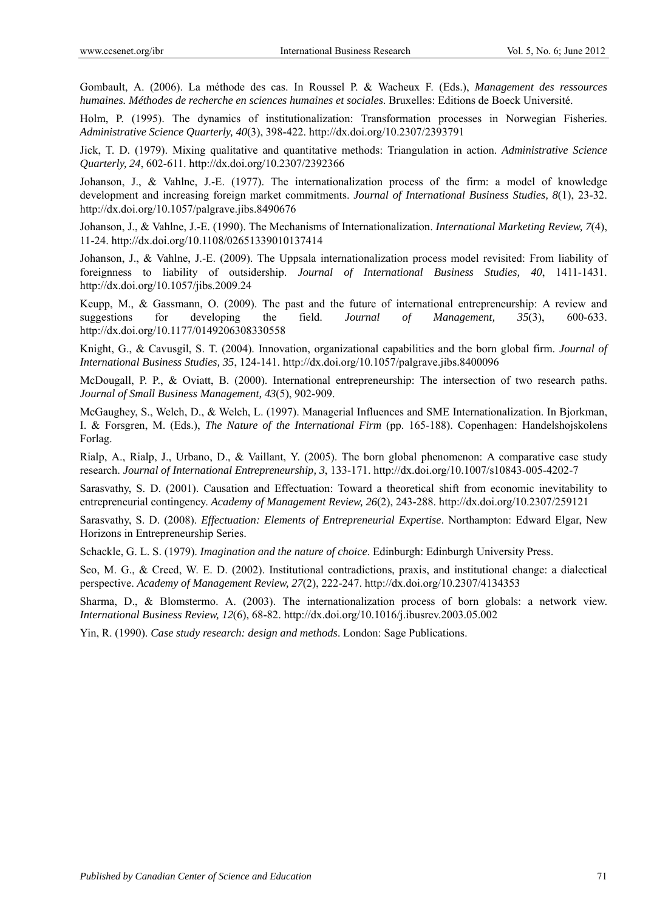Gombault, A. (2006). La méthode des cas. In Roussel P. & Wacheux F. (Eds.), *Management des ressources humaines. Méthodes de recherche en sciences humaines et sociales*. Bruxelles: Editions de Boeck Université.

Holm, P. (1995). The dynamics of institutionalization: Transformation processes in Norwegian Fisheries. *Administrative Science Quarterly, 40*(3), 398-422. http://dx.doi.org/10.2307/2393791

Jick, T. D. (1979). Mixing qualitative and quantitative methods: Triangulation in action. *Administrative Science Quarterly, 24*, 602-611. http://dx.doi.org/10.2307/2392366

Johanson, J., & Vahlne, J.-E. (1977). The internationalization process of the firm: a model of knowledge development and increasing foreign market commitments. *Journal of International Business Studies, 8*(1), 23-32. http://dx.doi.org/10.1057/palgrave.jibs.8490676

Johanson, J., & Vahlne, J.-E. (1990). The Mechanisms of Internationalization. *International Marketing Review, 7*(4), 11-24. http://dx.doi.org/10.1108/02651339010137414

Johanson, J., & Vahlne, J.-E. (2009). The Uppsala internationalization process model revisited: From liability of foreignness to liability of outsidership. *Journal of International Business Studies, 40*, 1411-1431. http://dx.doi.org/10.1057/jibs.2009.24

Keupp, M., & Gassmann, O. (2009). The past and the future of international entrepreneurship: A review and suggestions for developing the field. *Journal of Management, 35*(3), 600-633. http://dx.doi.org/10.1177/0149206308330558

Knight, G., & Cavusgil, S. T. (2004). Innovation, organizational capabilities and the born global firm. *Journal of International Business Studies, 35*, 124-141. http://dx.doi.org/10.1057/palgrave.jibs.8400096

McDougall, P. P., & Oviatt, B. (2000). International entrepreneurship: The intersection of two research paths. *Journal of Small Business Management, 43*(5), 902-909.

McGaughey, S., Welch, D., & Welch, L. (1997). Managerial Influences and SME Internationalization. In Bjorkman, I. & Forsgren, M. (Eds.), *The Nature of the International Firm* (pp. 165-188). Copenhagen: Handelshojskolens Forlag.

Rialp, A., Rialp, J., Urbano, D., & Vaillant, Y. (2005). The born global phenomenon: A comparative case study research. *Journal of International Entrepreneurship, 3*, 133-171. http://dx.doi.org/10.1007/s10843-005-4202-7

Sarasvathy, S. D. (2001). Causation and Effectuation: Toward a theoretical shift from economic inevitability to entrepreneurial contingency. *Academy of Management Review, 26*(2), 243-288. http://dx.doi.org/10.2307/259121

Sarasvathy, S. D. (2008). *Effectuation: Elements of Entrepreneurial Expertise*. Northampton: Edward Elgar, New Horizons in Entrepreneurship Series.

Schackle, G. L. S. (1979). *Imagination and the nature of choice*. Edinburgh: Edinburgh University Press.

Seo, M. G., & Creed, W. E. D. (2002). Institutional contradictions, praxis, and institutional change: a dialectical perspective. *Academy of Management Review, 27*(2), 222-247. http://dx.doi.org/10.2307/4134353

Sharma, D., & Blomstermo. A. (2003). The internationalization process of born globals: a network view. *International Business Review, 12*(6), 68-82. http://dx.doi.org/10.1016/j.ibusrev.2003.05.002

Yin, R. (1990). *Case study research: design and methods*. London: Sage Publications.